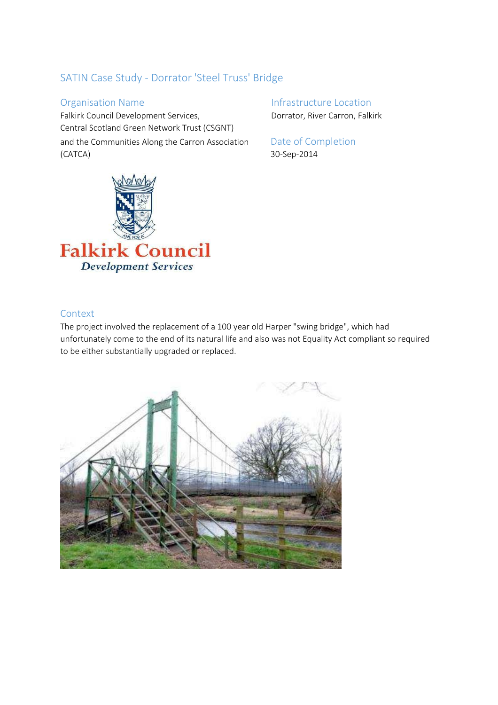# SATIN Case Study - Dorrator 'Steel Truss' Bridge

Falkirk Council Development Services, Dorrator, River Carron, Falkirk Central Scotland Green Network Trust (CSGNT) and the Communities Along the Carron Association Date of Completion (CATCA) 30-Sep-2014

Organisation Name **Infrastructure Location** 



# Context

The project involved the replacement of a 100 year old Harper "swing bridge", which had unfortunately come to the end of its natural life and also was not Equality Act compliant so required to be either substantially upgraded or replaced.

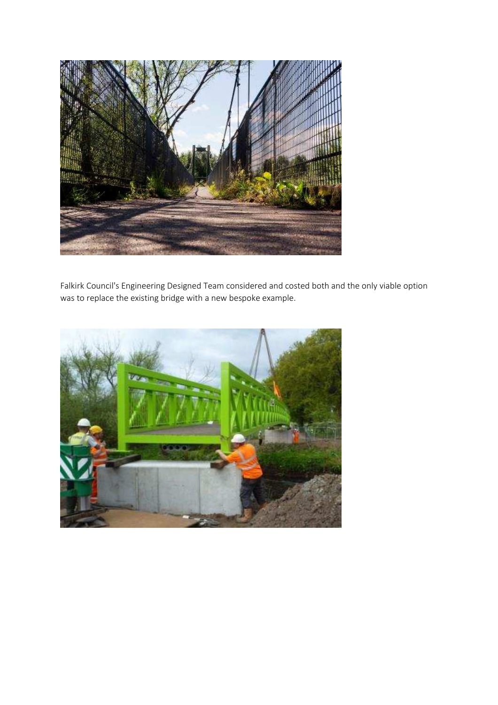

Falkirk Council's Engineering Designed Team considered and costed both and the only viable option was to replace the existing bridge with a new bespoke example.

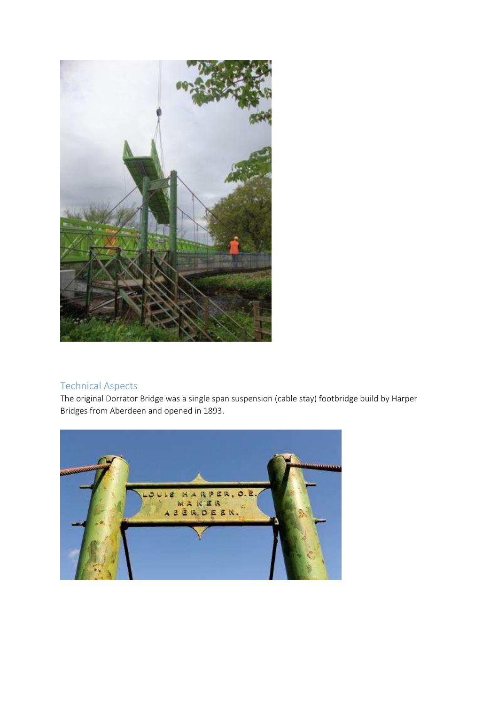

# Technical Aspects

The original Dorrator Bridge was a single span suspension (cable stay) footbridge build by Harper Bridges from Aberdeen and opened in 1893.

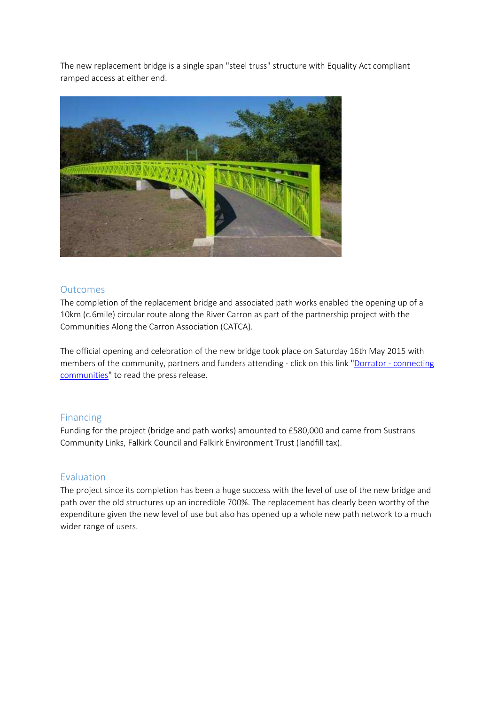The new replacement bridge is a single span "steel truss" structure with Equality Act compliant ramped access at either end.



### **Outcomes**

The completion of the replacement bridge and associated path works enabled the opening up of a 10km (c.6mile) circular route along the River Carron as part of the partnership project with the Communities Along the Carron Association (CATCA).

The official opening and celebration of the new bridge took place on Saturday 16th May 2015 with members of the community, partners and funders attending - click on this link "Dorrator - connecting communities" to read the press release.

# Financing

Funding for the project (bridge and path works) amounted to £580,000 and came from Sustrans Community Links, Falkirk Council and Falkirk Environment Trust (landfill tax).

# Evaluation

The project since its completion has been a huge success with the level of use of the new bridge and path over the old structures up an incredible 700%. The replacement has clearly been worthy of the expenditure given the new level of use but also has opened up a whole new path network to a much wider range of users.